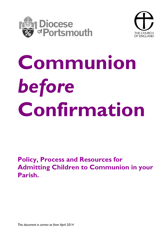



# **Communion** *before* **Confirmation**

**Policy, Process and Resources for Admitting Children to Communion in your Parish.**

*This document is correct as from April 2014*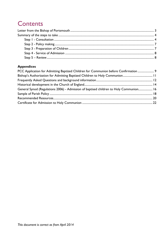## **Contents**

#### **Appendices**

| PCC Application for Admitting Baptized Children for Communion before Confirmation  9   |  |
|----------------------------------------------------------------------------------------|--|
|                                                                                        |  |
|                                                                                        |  |
|                                                                                        |  |
| General Synod (Regulations 2006) - Admission of baptised children to Holy Communion 16 |  |
|                                                                                        |  |
|                                                                                        |  |
|                                                                                        |  |
|                                                                                        |  |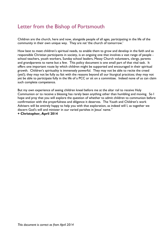## <span id="page-2-0"></span>Letter from the Bishop of Portsmouth

Children are the church, here and now, alongside people of all ages, participating in the life of the community in their own unique way. They are *not* 'the church of tomorrow.'

How best to meet children's spiritual needs, to enable them to grow and develop in the faith and as responsible Christian participants in society, is an ongoing one that involves a vast range of people school teachers, youth workers, Sunday school leaders, Messy Church volunteers, clergy, parents and grandparents to name but a few. This policy document is one small part of that vital task. It offers one important route by which children might be supported and encouraged in their spiritual growth. Children's spirituality is immensely powerful. They may not be able to recite the creed (yet!); they may not be fully au fait with the reasons beyond all our liturgical practices; they may not yet be able to participate fully in the life of a PCC or sit on a committee. Indeed none of us can claim such complete competence.

But my own experience of seeing children kneel before me at the altar rail to receive Holy Communion or to receive a blessing has rarely been anything other than humbling and moving. So I hope and pray that you will explore the question of whether to admit children to communion before confirmation with the prayerfulness and diligence it deserves. The Youth and Children's work Advisers will be entirely happy to help you with that exploration, as indeed will I, as together we discern God's will and minister in our varied parishes in Jesus' name."

**+ Christopher, April 2014**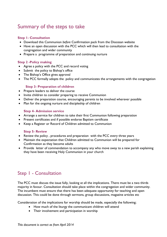## <span id="page-3-0"></span>Summary of the steps to take

#### **Step 1- Consultation**

- Download this Communion *before* Confirmation pack from the Diocesan website
- Have an open discussion with the PCC which will then lead to consultation with the congregation and wider community
- Prepare a programme of preparation and continuing nurture

#### **Step 2 -Policy making**

- Agree a policy with the PCC and record voting
- Submit the policy to Bishop's office
- The Bishop's Office gives approval
- The PCC formally adopts the policy and communicates the arrangements with the congregation

#### **Step 3- Preparation of children**

- Prepare leaders to deliver the course
- Invite children to consider preparing to receive Communion
- Deliver the preparation course, encouraging parents to be involved wherever possible
- Plan for the ongoing nurture and discipleship of children

#### **Step 4- Admission service**

- Arrange a service for children to take their first Communion following preparation
- Present certificates and if possible endorse Baptism certificate
- Keep a Register or Record of Children admitted to Communion

#### **Step 5- Review**

- Review the policy , procedures and preparation with the PCC every three years
- Maintain the expectation that Children admitted to Communion will be prepared for Confirmation as they become adults
- Provide letter of commendation to accompany any who move away to a new parish explaining they have been receiving Holy Communion in your church

## <span id="page-3-1"></span>Step 1 - Consultation

The PCC must discuss the issue fully, looking at all the implications. There must be a two thirds majority in favour. Consultation should take place within the congregation and wider community. The incumbent must ensure that there has been adequate opportunity for teaching and open discussion. This could be done through sermons, group discussions, magazine articles etc

Consideration of the implications for worship should be made, especially the following;

- How much of the liturgy the communicant children will attend
- Their involvement and participation in worship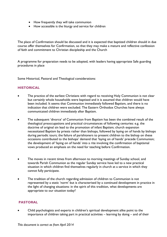- How frequently they will take communion
- How accessible is the liturgy and service for children

The place of Confirmation should be discussed and it is expected that baptized children should in due course offer themselves for Confirmation, so that they may make a mature and reflective confession of faith and commitment to Christian discipleship and the Church

A programme for preparation needs to be adopted, with leaders having appropriate Safe guarding procedures in place

Some Historical, Pastoral and Theological considerations:

#### **HISTORICAL**

- The practice of the earliest Christians with regard to receiving Holy Communion is not clear but certainly whole households were baptised and it is assumed that children would have been included. It seems that Communion immediately followed Baptism, and there is no indication that children were excluded. The Eastern Orthodox Churches have always communicated children immediately after Baptism.
- The subsequent 'divorce' of Communion from Baptism has been the combined result of the theological preoccupations and practical circumstances of following centuries: e.g. the doctrine of original sin lead to the promotion of infant Baptism; church expansion necessitated Baptism by priests rather than bishops, followed by laying on of hands by bishops during periodic tours; the failure of parishioners to present children to the bishop on these occasions contributed to the bishops' demand that 'laying on of hands' precede Communion; the development of 'laying on of hands' into a rite involving the confirmation of baptismal vows produced an emphasis on the need for teaching before Confirmation.
- The moves in recent times from afternoon to morning meetings of Sunday school, and towards Parish Communion as the regular Sunday service have led to a new practical situation in which children find themselves regularly in church at a service in which they cannot fully participate.
- The tradition of the church regarding admission of children to Communion is not represented by a static 'norm' but is characterised by a continued development in practice in the light of changing situations: in the spirit of this tradition, what developments are appropriate to our situation today?

#### **PASTORAL**

 Child psychologists and experts in children's spiritual development alike point to the importance of children taking part in practical activities – learning by doing – and of their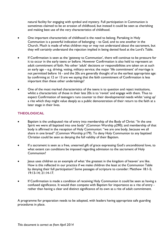natural facility for engaging with symbol and mystery. Full participation in Communion is sometimes claimed to be an erosion of childhood, but instead it could be seen as cherishing and making best use of the very characteristics of childhood.

- One important characteristic of childhood is the need to belong. Partaking in Holy Communion is a powerful indication of belonging – to God, and to one another in the Church. Much is made of what children may or may not understand about the sacrament, but they will certainly understand the rejection implied in being denied food at the Lord's Table.
- If Confirmation is seen as the 'gateway to Communion', there will continue to be pressure for it to occur in the early teens or before. However Confirmation is also held to represent an adult commitment of faith. No other 'adult' decisions or responsibilities are taken on at such an early age – e.g. driving, voting, military service; the major 'life commitment' of marriage is not permitted before 16 - and the 20s are generally thought of as the earliest appropriate age: by confirming at 12 or 13 are we saying that the faith commitment of Confirmation is less important than these other undertakings?
- One of the most marked characteristics of the teens is to question and reject institutions, whilst a characteristic of those in their late 20s is to 'revisit' and engage with them. Thus to expect Confirmation of teenagers runs counter to their developmental needs whilst 'using up' a rite which they might value deeply as a public demonstration of their return to the faith at a later stage in their lives.

#### **THEOLOGICAL**

- Baptism is the undisputed rite of entry into membership of the Body of Christ: "In the one Spirit we were all baptised into one body" (Common Worship p290); and membership of that body is affirmed in the reception of Holy Communion: "we are one body, because we all share in one bread" (Common Worship p179). To deny Holy Communion to any baptised Christian could be seen as denying the full validity of their Baptism.
- If a sacrament is seen as a free, unearned gift of grace expressing God's unconditional love, to what extent can conditions be imposed regarding admission to the sacrament of Holy Communion?
- Jesus uses children as an example of what 'the greatest in the kingdom of heaven' are like. How is this reflected in our practice if we make children the least at the Communion Table by denying their full participation? Some passages of scripture to consider: Matthew 18:1-5; 19:13-14; 21:14-17.
- If Confirmation is made a condition of receiving Holy Communion it could be seen as having a confused significance. It would then compete with Baptism for importance as a rite of entry rather than having a clear and distinct significance of its own as a rite of adult commitment.

A programme for preparation needs to be adopted, with leaders having appropriate safe guarding procedures in place.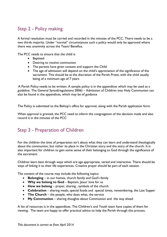## <span id="page-6-0"></span>Step 2 - Policy making

A formal resolution must be carried and recorded in the minutes of the PCC. There needs to be a two thirds majority. Under "normal" circumstances such a policy would only be approved where there was unanimity across the Team/ Benefice.

The PCC needs to ensure that the child is

- **•** Baptised
- Desiring to receive communion
- The parents have given consent and support the Child
- The age of admission will depend on the child's appreciation of the significance of the sacrament. This should be at the discretion of the Parish Priest, with the child usually being of a minimum age of 7 years

 A Parish Policy needs to be written. A sample policy is in the appendices which may be used as a guideline. The General Synod(regulations 2006) – Admission of Children into Holy Communion can also be found in the appendices, which may be of guidance

The Policy is submitted to the Bishop's office for approval, along with the Parish application form.

When approval is granted, the PCC need to inform the congregation of the decision made and also record it in the minutes of the PCC

## <span id="page-6-1"></span>Step 3 - Preparation of Children

For the children the time of preparation isn't about what they can learn and understand theologically about the communion, but rather its place in the Christian story and the story of the church. It is also important for children to gain some sense of their belonging to God through the significance of the sacrament.

Children learn best through ways which are age appropriate, varied and interactive. There should be ways of linking it to their life experiences. Creative prayer should be part of each session.

The content of the course may include the following topics:

- **Belonging** in our homes, church family and God's family
- **Why we belong to God** Baptism, Jesus' love for us
- **How we belong** prayer, sharing , symbols of the church
- **Celebration** sharing meals, special foods and special times, remembering, the Last Supper
- **The Church** the people, who does what, the service
- **My Communion** sharing thoughts about Communion and the way ahead

A list of resources is in the appendices. The Children's and Youth team have copies of them for viewing. The team are happy to offer practical advice to help the Parish through this process.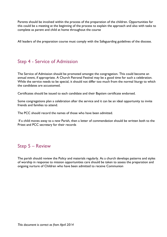Parents should be involved within the process of the preparation of the children. Opportunities for this could be a meeting at the beginning of the process to explain the approach and also with tasks to complete as parent and child at home throughout the course

All leaders of the preparation course must comply with the Safeguarding guidelines of the diocese.

## <span id="page-7-0"></span>Step 4 - Service of Admission

The Service of Admission should be promoted amongst the congregation. This could become an annual event, if appropriate. A Church Patronal Festival may be a good time for such a celebration. While the service needs to be special, it should not differ too much from the normal liturgy to which the candidates are accustomed.

Certificates should be issued to each candidate and their Baptism certificate endorsed.

Some congregations plan a celebration after the service and it can be an ideal opportunity to invite friends and families to attend.

The PCC should record the names of those who have been admitted.

If a child moves away to a new Parish, then a letter of commendation should be written both to the Priest and PCC secretary for their records

## <span id="page-7-1"></span>Step 5 – Review

The parish should review the Policy and materials regularly. As a church develops patterns and styles of worship in response to mission opportunities care should be taken to assess the preparation and ongoing nurture of Children who have been admitted to receive Communion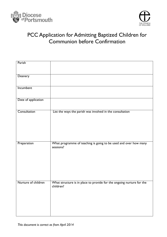



## <span id="page-8-0"></span>PCC Application for Admitting Baptized Children for Communion before Confirmation

| Parish              |                                                                                    |
|---------------------|------------------------------------------------------------------------------------|
| Deanery             |                                                                                    |
| Incumbent           |                                                                                    |
| Date of application |                                                                                    |
| Consultation        | List the ways the parish was involved in the consultation                          |
| Preparation         | What programme of teaching is going to be used and over how many<br>sessions?      |
| Nurture of children | What structure is in place to provide for the ongoing nurture for the<br>children? |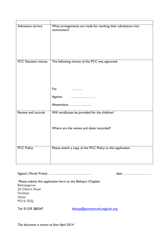| <b>Admission service</b>   | What arrangements are made for marking their admittance into<br>communion? |
|----------------------------|----------------------------------------------------------------------------|
| <b>PCC Decision minute</b> | The following minute of the PCC was approved                               |
|                            | For<br>.                                                                   |
|                            | Against                                                                    |
|                            | Abstentions                                                                |
| Review and records         | Will certificates be provided for the children?                            |
|                            | Where are the names and dates recorded?                                    |
| <b>PCC Policy</b>          | Please attach a copy of the PCC Policy to this application                 |

Signed ( Parish Priest) ………………………………… date …………………….

Please submit this application form to the Bishop's Chaplain Bishopsgrove 26 Osborn Road Fareham Hants PO16 7DQ

Tel: 01329 280247 [bishop@portsmouth.anglican.org](mailto:bishop@portsmouth.anglican.org)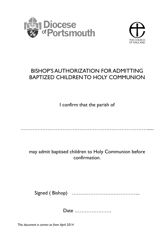



## <span id="page-10-0"></span>BISHOP'S AUTHORIZATION FOR ADMITTING BAPTIZED CHILDREN TO HOLY COMMUNION

I confirm that the parish of

………………………………………………………………………………

may admit baptised children to Holy Communion before confirmation.

Signed ( Bishop) …………………………………..

Date ………………….

*This document is correct as from April 2014*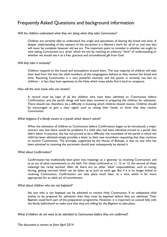## <span id="page-11-0"></span>Frequently Asked Questions and background information

#### *Will the children understand what they are doing when they take Communion?*

Children are certainly able to understand the origin and specialness of sharing the bread and wine. A deeper understanding of the mystery of the sacrament is a lifetime's work for *all* of us, and one that will never be complete however old we are. The important point to consider is whether we ought to view taking Communion as a 'prize' which we win by reaching an arbitrary "level" of understanding or whether we should see it as a free, gracious and unconditional gift from God.

#### *Will they take it seriously?*

Children respond to the mood and atmosphere around them. The vast majority of children will take their lead from the way the adult members of the congregation behave as they receive the bread and wine. Receiving Communion is a very powerful moment, and the power is certainly not lost on children – in fact they have openness to the Holy which many adults find it hard to recapture.

#### *How will the vicar know who can receive?*

A record must be kept of all the children who have been admitted to Communion before Confirmation, and the parish clergy will have been involved in preparing the children for admission. There should not, therefore, be a difficulty in knowing which children should receive. Children should be encouraged to give a clear signal, such as raising their hands, to show that they receive Communion.

#### *What happens if a family moves to a parish which doesn't admit?*

When the admission of children to Communion before Confirmation began to be introduced, a major concern was that there would be problems if a child who had been admitted moved to a parish that didn't admit. In practice, this has not proved to be a difficulty: the incumbent of the parish in which the child has been admitted simply provides a letter to their new incumbent requesting that they continue to receive Communion. The principle, supported by the House of Bishops, is that no one who has been admitted to receiving the sacrament should ever subsequently be denied it.

#### *What about Confirmation?*

Confirmation has traditionally been given two meanings: as a 'gateway' to receiving Communion; and as an act of adult commitment to the faith. For those confirmed at 11, 12 or 13, the second of these meanings has rarely worked. After all, there are no other 'adult' responsibilities, such as voting, driving, getting married, which can be taken up at such an early age. But if it is no longer linked to receiving Communion, Confirmation can take place much later, at a time which is far more appropriate for an adult act of commitment.

#### *What about children who are not baptised?*

No one who is not baptised can be admitted to receive Holy Communion. If an unbaptised child wishes to be prepared for admission then they must be baptised before they are admitted. Their Baptism could form part of the preparation programme. However, it is important to consult fully with the family beforehand to make sure that they are willing for the Baptism to take place.

#### *What if children do not want to be admitted to Communion before they are confirmed?*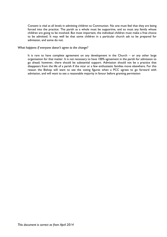Consent is vital at all levels in admitting children to Communion. No one must feel that they are being forced into the practice. The parish as a whole must be supportive, and so must any family whose children are going to be involved. But most important, the individual children must make a free choice to be admitted. It may well be that some children in a particular church ask to be prepared for admission, and some do not.

#### *What happens if everyone doesn't agree to the change?*

It is rare to have complete agreement on any development in the Church – or any other large organisation for that matter. It is not necessary to have 100% agreement in the parish for admission to go ahead; however, there should be substantial support. Admission should not be a practice that disappears from the life of a parish if the vicar or a few enthusiastic families move elsewhere. For this reason the Bishop will want to see the voting figures when a PCC agrees to go forward with admission, and will want to see a reasonable majority in favour before granting permission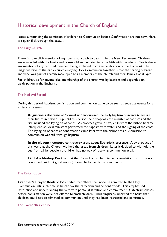## <span id="page-13-0"></span>Historical development in the Church of England

Issues surrounding the admission of children to Communion before Confirmation are not new! Here is a quick flick through the past….

#### The Early Church

There is no explicit mention of any special approach to baptism in the New Testament. Children were included with the family and household and initiated into the faith with the adults. Nor is there any mention of any baptised members being excluded from the celebration of the Eucharist. The image we have of the early church enjoying Holy Communion together is that the sharing of bread and wine was part of a family meal open to all members of the church and their families of all ages.

For children, as for anyone else, membership of the church was by baptism and depended on participation in the Eucharist.

#### The Medieval Period

During this period, baptism, confirmation and communion came to be seen as separate events for a variety of reasons.

**Augustine's doctrine** of "original sin" encouraged the early baptism of infants to secure their future in heaven. Up until this period the bishop was the minister of baptism and the rite included the laying on of hands. As dioceses grew in size, visits from the bishop became infrequent, so local ministers performed the baptism with water and the signing of the cross. The laying on of hands at confirmation came later with the bishop's visit. Admission to communion was still through baptism.

**In the eleventh century** controversy arose about Eucharistic presence. A by-product of this was that the Church withheld the bread from children. Later it decided to withhold the cup from all lay people, so children had no way of receiving communion at all.

**1281 Archbishop Peckham** at the Council of Lambeth issued a regulation that those not confirmed (without good reason) should be barred from communion.

#### The Reformation

**Cranmer's Prayer Book** of 1549 stated that "there shall none be admitted to the Holy Communion until such time as he can say the catechism and be confirmed". This emphasised instruction and understanding the faith with personal salvation and commitment. Catechism classes before confirmation were not offered to small children. Thus Anglicans inherited the belief that children could not be admitted to communion until they had been instructed and confirmed.

#### The Twentieth Century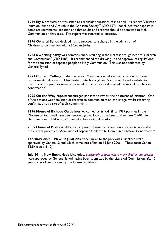**1969 Ely Commission** was asked to reconsider questions of initiation. Its report "Christian Initiation: Birth and Growth in the Christian Society"" (CIO 1971) concluded that baptism is complete sacramental initiation and that adults and children should be admitted to Holy Communion on that basis. This report was referred to dioceses.

**1976 General Synod** decided not to proceed to a change in the admission of Children to communion with a 60:40 majority.

**1983 a working party** was commissioned, resulting in the Knaresborough Report "Children and Communion" (CIO 1983). It recommended the drawing up and approval of regulations for the admission of baptised people to Holy Communion. This was not endorsed by General Synod.

**1993 Culham College Institute** report "Communion before Confirmation" in three 'experimental' dioceses of Manchester, Peterborough and Southwark found a substantial majority of the parishes were "convinced of the positive value of admitting children before confirmation".

**1995 On the Way report** encouraged parishes to review their patterns of initiation. One of the options was admission of children to communion at an earlier age, whilst reserving confirmation as a rite of adult commitment.

**1996 House of Bishops Guidelines** welcomed by Synod. Since 1997 parishes in the Diocese of Southwell have been encouraged to look at the issue, and to date (05/06) 56 churches admit children to Communion before Confirmation.

**2005 House of Bishops** debate a proposed change to Canon Law in order to normalise the current process of 'Admission of Baptised Children to Communion before Confirmation'.

**February 2006. New Regulations**, very similar to the previous Guidelines were approved by General Synod which came into effect on 15 June 2006. These form Canon B15A (see p 8-10)

**July 2011. New Eucharistic Liturgies,** *particularly suitable where many children are present , were* approved by General Synod having been submitted by the Liturgical Commission, after 2 years of work and review by the House of Bishops.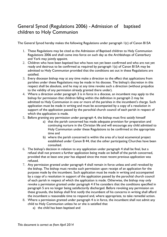## <span id="page-15-0"></span>General Synod (Regulations 2006) - Admission of baptised children to Holy Communion

The General Synod hereby makes the following Regulations under paragraph 1(c) of Canon B15A

- 1. These Regulations may be cited as the Admission of Baptised children to Holy Communion Regulations 2006 and shall come into force on such day as the Archbishops of Canterbury and York may jointly appoint.
- 2. Children who have been baptised but who have not yet been confirmed and who are not yet ready and desirous to be confirmed as required by paragraph 1(a) of Canon B15A may be admitted to Holy Communion provided that the conditions set out in these Regulations are satisfied.
- 3. Every diocesan bishop may at any time make a direction to the effect that applications from parishes under these Regulations may be made in his diocese. The bishop's discretion in this respect shall be absolute, and he may at any time revoke such a direction (without prejudice to the validity of any permission already granted there under).
- 4. Where a direction under paragraph 3 is in force in a diocese, an incumbent may apply to the bishop for permission that children falling within the definition in paragraph 2 may be admitted to Holy Communion in one or more of the parishes in the incumbent's charge. Such application must be made in writing and must be accompanied by a copy of a resolution in support of the application passed by the parochial church council of each parish in respect of which the application is made.
- 5. Before granting any permission under paragraph 4, the bishop must first satisfy himself
	- a) that the parish concerned has made adequate provision for preparation and continuing nurture in the Christian life and will encourage any child admitted to Holy Communion under these Regulations to be confirmed at the appropriate time and
	- b) where the parish concerned is within the area of a local ecumenical project established under Canon B 44, that the other participating Churches have been consulted.
- 6. The bishop's decision in relation to any application under paragraph 4 shall be final, but a refusal shall not prevent a further application being made on behalf of the parish concerned, provided that at least one year has elapsed since the most recent previous application was refused.
- 7. Any permission granted under paragraph 4 shall remain in force unless and until revoked by the bishop. The bishop must revoke such permission upon receipt of an application for the purpose made by the incumbent. Such application must be made in writing and accompanied by a copy of a resolution in support of the application passed by the parochial church council of each parish in respect of which the application is made. Otherwise, the bishop may only revoke a permission granted under paragraph 4 if he considers that the conditions specified in paragraph 5 are no longer being satisfactorily discharged. Before revoking any permission on these grounds, the bishop shall first notify the incumbent of his concerns in writing shall afford the incumbent a reasonable time to respond and, where appropriate, to take remedial action.
- 8. Where a permission granted under paragraph 4 is in force, the incumbent shall not admit any child to Holy Communion unless he or she is satisfied that
	- a) the child has been baptised and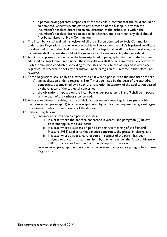- b) a person having parental responsibility for the child is content that the child should be so admitted. Otherwise, subject to any direction of the bishop, it is within the incumbent's absolute discretion to any direction of the bishop, it is within the incumbent's absolute discretion to decide whether, and if so when, any child should first be admitted to Holy Communion.
- 9. The incumbent shall maintain a register of all the children admitted to Holy Communion under these Regulations, and where practicable will record on the child's baptismal certificate the date and place of the child's first admission. If the baptismal certificate is not available, the incumbent shall present the child with a separate certificate recording the same details.
- 10. A child who presents evidence in the form stipulated in paragraph 9 that he or she has been admitted to Holy Communion under these Regulations shall be so admitted at any service of Holy Communion conducted according to the rites of the Church of England in any place, regardless of whether or not any permission under paragraph 4 is in force in that place until revoked.
- 11. These Regulations shall apply to a cathedral as if it were a parish, with the modifications that:
	- a) any application under paragraphs 3 or 7 must be made by the dean of the cathedral concerned, accompanied by a copy of a resolution in support of the application passed by the chapter of the cathedral concerned.
	- b) the obligations imposed on the incumbent under paragraphs 8 and 9 shall be imposed on the dean of the cathedral concerned.
- 12. A diocesan bishop may delegate any of his functions under these Regulations (except his functions under paragraph 3) to a person appointed by him for the purpose, being a suffragan or a assistant bishop or archdeacon of the diocese.
- 13. In these Regulations:
	- a) 'incumbent', in relation to a parish, includes:
		- i. in a case where the benefice concerned is vacant (and paragraph (ii) below does not apply), the rural dean;
		- ii. in a case where a suspension period (within the meaning of the Pastoral Measure 1983) applies to the benefice concerned, the priest- in-charge; and
		- iii. in a case where a special cure of souls in respect of the parish has been assigned to a vicar in a team ministry by a Scheme under the Pastoral Measure 1983 or by license from the from the bishop, that the vicar.
	- b) references to paragraph numbers are to the relevant paragraph or paragraphs in these Regulations.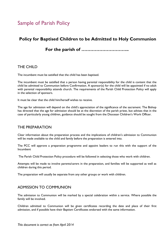## <span id="page-17-0"></span>Sample of Parish Policy

## **Policy for Baptised Children to be Admitted to Holy Communion**

## **For the parish of …………………………..**

#### THE CHILD

The incumbent must be satisfied that the child has been baptised.

The incumbent must be satisfied that a person having parental responsibility for the child is content that the child be admitted to Communion before Confirmation. A sponsor(s) for the child will be appointed if no adult with parental responsibility attends church. The requirements of the Parish Child Protection Policy will apply in the selection of sponsors.

It must be clear that the child him/herself wishes to receive.

The age for admission will depend on the child's appreciation of the significance of the sacrament. The Bishop has directed that the age for admission should be at the discretion of the parish priest, but advises that in the case of particularly young children, guidance should be sought from the Diocesan Children's Work Officer.

#### THE PREPARATION

Clear information about the preparation process and the implications of children's admission to Communion will be made available to the child and family before the preparation is entered into.

The PCC will approve a preparation programme and appoint leaders to run this with the support of the Incumbent

The Parish Child Protection Policy procedure will be followed in selecting those who work with children.

Attempts will be made to involve parents/carers in the preparation, and families will be supported as well as children during this period.

The preparation will usually be separate from any other groups or work with children.

#### ADMISSION TO COMMUNION

The admission to Communion will be marked by a special celebration within a service. Where possible the family will be involved.

Children admitted to Communion will be given certificates recording the date and place of their first admission, and if possible have their Baptism Certificates endorsed with the same information.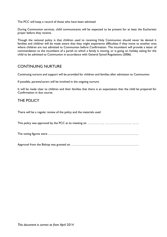The PCC will keep a record of those who have been admitted

During Communion services, child communicants will be expected to be present for at least the Eucharistic prayer before they receive.

Though the national policy is that children used to receiving Holy Communion should never be denied it families and children will be made aware that they might experience difficulties if they move to another area where children are not admitted to Communion before Confirmation. The incumbent will provide a letter of commendation to the incumbent of a parish to which a family is moving, or is going on holiday asking for the child to be admitted to Communion in accordance with General Synod Regulations (2006).

#### CONTINUING NURTURE

Continuing nurture and support will be provided for children and families after admission to Communion

If possible, parents/carers will be involved in the ongoing nurture*.*

It will be made clear to children and their families that there is an expectation that the child be prepared for Confirmation in due course.

#### THE POLICY

There will be a regular review of the policy and the materials used

This policy was approved by the PCC at its meeting on ……………………………………………………………………

The voting figures were …………………………………………………………………………….

Approval from the Bishop was granted on …………………………………………………………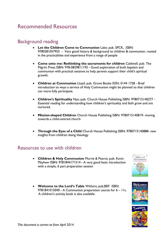## <span id="page-19-0"></span>Recommended Resources

## Background reading

- Let the Children Come to Communion Lake; pub. SPCK, ISBN: 9780281057955 - Very good history & background to children & communion, rooted in the practicalities and experience from a range of people
- **Come unto me: Rethinking the sacraments for children** Caldwell; pub. The Pilgrim Press ISBN: 978-0829811193 - Good exploration of both baptism and communion with practical sessions to help parents support their child's spiritual growth.
- **Children at Communion** Lloyd; pub. Grove Books ISSN: 0144 1728 Brief introduction to ways a service of Holy Communion might be planned so that children can more fully participate.
- **Children's Spirituality** Nye; pub. Church House Publishing ISBN: 9780715140277 Essential reading for understanding how children's spirituality and faith grow and are nurtured.
- **Mission-shaped Children** Church House Publishing ISBN: 9780715140819- moving towards a child-centred church
- **Through the Eyes of a Child** Church House Publishing ISBN: 9780715140888- new insights from children doing theology

### Resources to use with children

- **Children & Holy Communion** Murrie & Pearce; pub. Kevin Mayhew ISBN: 9781844171514 - A very good basic introduction with a simple, 6 part preparation session
- **Welcome to the Lord's Table** Withers; pub.BRF ISBN: 9781841015040 - A Communion preparation course for  $6 - 11s$ . A children's activity book is also available.





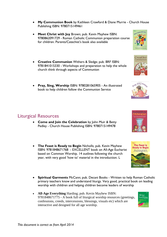- **My Communion Book** by Kathleen Crawford & Diane Murrie Church House Publishing ISBN: 9780715149461
- **Meet Christ with Joy** Brown; pub. Kevin Mayhew ISBN: 9780862091729 - Roman Catholic Communion preparation course for children. Parents/Catechist's book also available
- **Creative Communion** Withers & Sledge; pub. BRF ISBN: 9781841015330 - Workshops and preparation to help the whole church think through aspects of Communion
- **Pray, Sing, Worship** ISBN: 9780281065905 An illustrated book to help children follow the Communion Service

## Liturgical Resources

- **Come and Join the Celebration** by John Muir & Betty Pedley - Church House Publishing ISBN: 9780715149478
- **The Feast is Ready to Begin** Nicholls; pub. Kevin Mayhew ISBN: 9781848671768 - EXCELLENT book on All-Age Eucharist based on Common Worship. 14 outlines following the church year, with very good 'how to' material in the introduction. L
- **Spiritual Garments** McCann; pub. Decani Books Written to help Roman Catholic primary teachers know and understand liturgy. Very good, practical book on leading worship with children and helping children become leaders of worship
- **All-Age Everything** Harding; pub. Kevin Mayhew ISBN: 9781848671775 - A book full of liturgical worship resources (greetings, confessions, creeds, intercessions, blessings, visuals etc) which are interactive and designed for all age worship.



Creative<br>
Communion